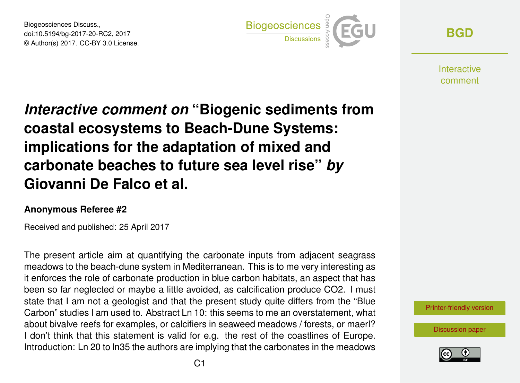Biogeosciences Discuss., doi:10.5194/bg-2017-20-RC2, 2017 © Author(s) 2017. CC-BY 3.0 License.



**[BGD](http://www.biogeosciences-discuss.net/)**

**Interactive** comment

## *Interactive comment on* **"Biogenic sediments from coastal ecosystems to Beach-Dune Systems: implications for the adaptation of mixed and carbonate beaches to future sea level rise"** *by* **Giovanni De Falco et al.**

## **Anonymous Referee #2**

Received and published: 25 April 2017

The present article aim at quantifying the carbonate inputs from adjacent seagrass meadows to the beach-dune system in Mediterranean. This is to me very interesting as it enforces the role of carbonate production in blue carbon habitats, an aspect that has been so far neglected or maybe a little avoided, as calcification produce CO2. I must state that I am not a geologist and that the present study quite differs from the "Blue Carbon" studies I am used to. Abstract Ln 10: this seems to me an overstatement, what about bivalve reefs for examples, or calcifiers in seaweed meadows / forests, or maerl? I don't think that this statement is valid for e.g. the rest of the coastlines of Europe. Introduction: Ln 20 to ln35 the authors are implying that the carbonates in the meadows

[Printer-friendly version](http://www.biogeosciences-discuss.net/bg-2017-20/bg-2017-20-RC2-print.pdf)

[Discussion paper](http://www.biogeosciences-discuss.net/bg-2017-20)